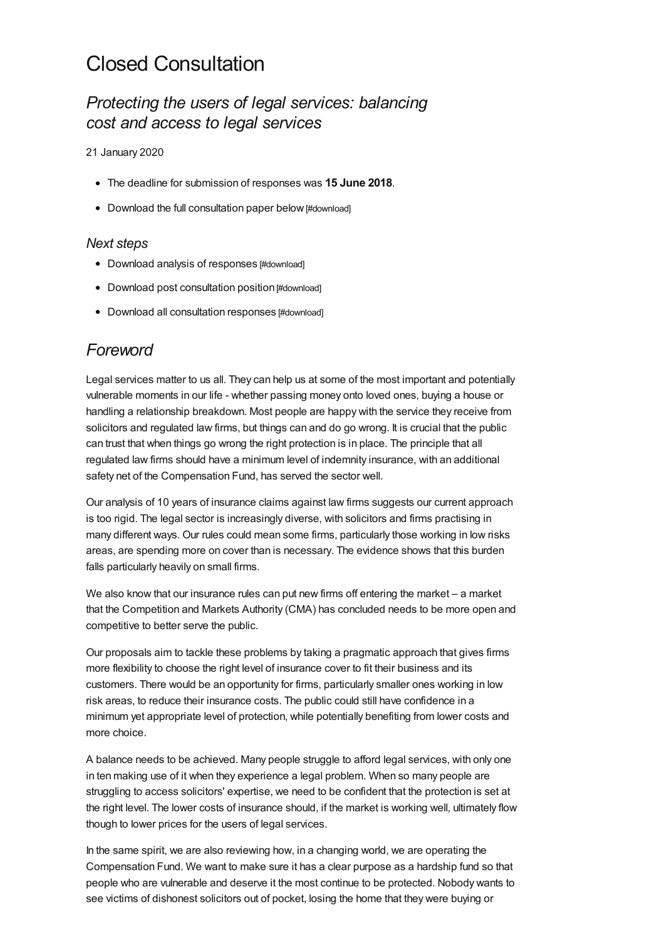# Closed Consultation

# *Protecting the users of legal services: balancing cost and access to legal services*

21 January 2020

- The deadline for submission of responses was **15 June 2018**.
- Download the full [consultation](#page-18-0) paper below [#download]

#### *Next steps*

- Download analysis of [responses](#page-18-0) [#download]
- Download post [consultation](#page-18-0) position [#download]
- Download all [consultation](#page-18-0) responses [#download]

# *Foreword*

Legal services matter to us all. They can help us at some of the most important and potentially vulnerable moments in our life - whether passing money onto loved ones, buying a house or handling a relationship breakdown. Most people are happy with the service they receive from solicitors and regulated law firms, but things can and do go wrong. It is crucial that the public can trust that when things go wrong the right protection is in place. The principle that all regulated law firms should have a minimum level of indemnity insurance, with an additional safety net of the Compensation Fund, has served the sector well.

Our analysis of 10 years of insurance claims against law firms suggests our current approach is too rigid. The legal sector is increasingly diverse, with solicitors and firms practising in many different ways. Our rules could mean some firms, particularly those working in low risks areas, are spending more on cover than is necessary. The evidence shows that this burden falls particularly heavily on small firms.

We also know that our insurance rules can put new firms off entering the market – a market that the Competition and Markets Authority (CMA) has concluded needs to be more open and competitive to better serve the public.

Our proposals aim to tackle these problems by taking a pragmatic approach that gives firms more flexibility to choose the right level of insurance cover to fit their business and its customers. There would be an opportunity for firms, particularly smaller ones working in low risk areas, to reduce their insurance costs. The public could still have confidence in a minimum yet appropriate level of protection, while potentially benefiting from lower costs and more choice.

A balance needs to be achieved. Many people struggle to afford legal services, with only one in ten making use of it when they experience a legal problem. When so many people are struggling to access solicitors' expertise, we need to be confident that the protection is set at the right level. The lower costs of insurance should, if the market is working well, ultimately flow though to lower prices for the users of legal services.

In the same spirit, we are also reviewing how, in a changing world, we are operating the Compensation Fund. We want to make sure it has a clear purpose as a hardship fund so that people who are vulnerable and deserve it the most continue to be protected. Nobody wants to see victims of dishonest solicitors out of pocket, losing the home that they were buying or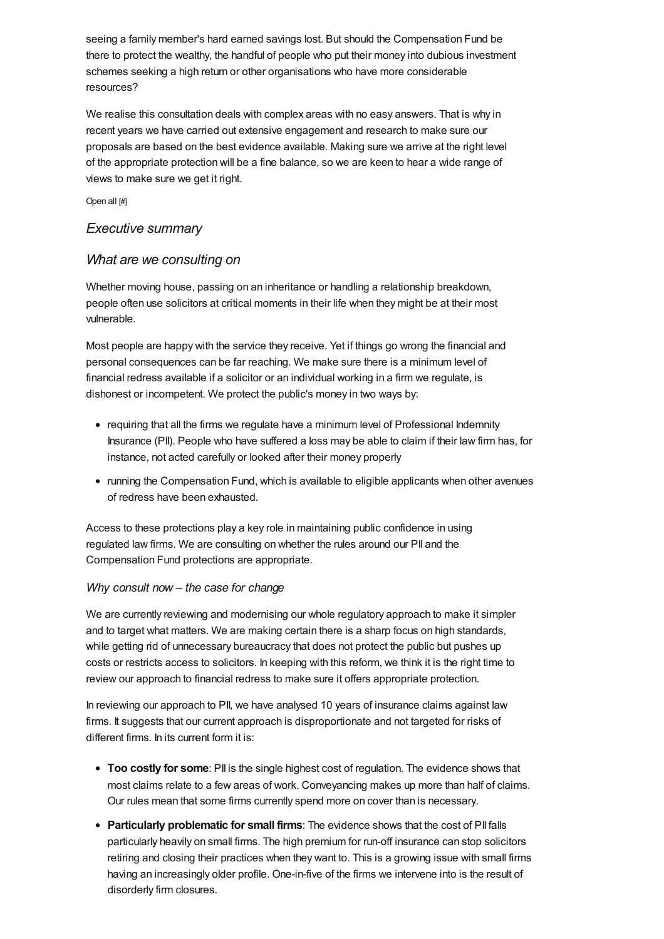seeing a family member's hard earned savings lost. But should the Compensation Fund be there to protect the wealthy, the handful of people who put their money into dubious investment schemes seeking a high return or other organisations who have more considerable resources?

We realise this consultation deals with complex areas with no easy answers. That is why in recent years we have carried out extensive engagement and research to make sure our proposals are based on the best evidence available. Making sure we arrive at the right level of the appropriate protection will be a fine balance, so we are keen to hear a wide range of views to make sure we get it right.

Open all [#]

#### *[Executive](#page-2-0) summary*

#### *What are we consulting on*

Whether moving house, passing on an inheritance or handling a relationship breakdown, people often use solicitors at critical moments in their life when they might be at their most vulnerable.

Most people are happy with the service they receive. Yet if things go wrong the financial and personal consequences can be far reaching. We make sure there is a minimum level of financial redress available if a solicitor or an individual working in a firm we regulate, is dishonest or incompetent. We protect the public's money in two ways by:

- requiring that all the firms we regulate have a minimum level of Professional Indemnity Insurance (PII). People who have suffered a loss may be able to claim if their law firm has, for instance, not acted carefully or looked after their money properly
- running the Compensation Fund, which is available to eligible applicants when other avenues of redress have been exhausted.

Access to these protections play a key role in maintaining public confidence in using regulated law firms. We are consulting on whether the rules around our PII and the Compensation Fund protections are appropriate.

#### *Why consult now – the case for change*

We are currently reviewing and modernising our whole regulatory approach to make it simpler and to target what matters. We are making certain there is a sharp focus on high standards, while getting rid of unnecessary bureaucracy that does not protect the public but pushes up costs or restricts access to solicitors. In keeping with this reform, we think it is the right time to review our approach to financial redress to make sure it offers appropriate protection.

In reviewing our approach to PII, we have analysed 10 years of insurance claims against law firms. It suggests that our current approach is disproportionate and not targeted for risks of different firms. In its current form it is:

- **Too costly for some**: PII is the single highest cost of regulation. The evidence shows that most claims relate to a few areas of work. Conveyancing makes up more than half of claims. Our rules mean that some firms currently spend more on cover than is necessary.
- **Particularly problematic for small firms**: The evidence shows that the cost of PII falls particularly heavily on small firms. The high premium for run-off insurance can stop solicitors retiring and closing their practices when they want to. This is a growing issue with small firms having an increasingly older profile. One-in-five of the firms we intervene into is the result of disorderly firm closures.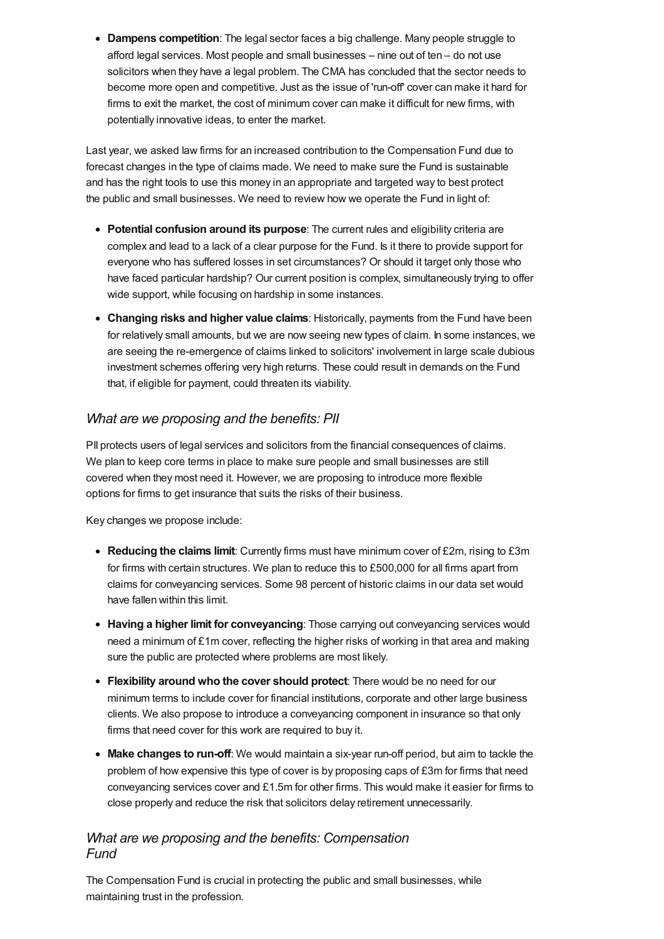<span id="page-2-0"></span>**Dampens competition**: The legal sector faces a big challenge. Many people struggle to afford legal services. Most people and small businesses – nine out of ten – do not use solicitors when they have a legal problem. The CMA has concluded that the sector needs to become more open and competitive. Just as the issue of 'run-off' cover can make it hard for firms to exit the market, the cost of minimum cover can make it difficult for new firms, with potentially innovative ideas, to enter the market.

Last year, we asked law firms for an increased contribution to the Compensation Fund due to forecast changes in the type of claims made. We need to make sure the Fund is sustainable and has the right tools to use this money in an appropriate and targeted way to best protect the public and small businesses. We need to review how we operate the Fund in light of:

- **Potential confusion around its purpose**: The current rules and eligibility criteria are complex and lead to a lack of a clear purpose for the Fund. Is it there to provide support for everyone who has suffered losses in set circumstances? Or should it target only those who have faced particular hardship? Our current position is complex, simultaneously trying to offer wide support, while focusing on hardship in some instances.
- **Changing risks and higher value claims**: Historically, payments from the Fund have been for relatively small amounts, but we are now seeing new types of claim. In some instances, we are seeing the re-emergence of claims linked to solicitors' involvement in large scale dubious investment schemes offering very high returns. These could result in demands on the Fund that, if eligible for payment, could threaten its viability.

### *What are we proposing and the benefits: PII*

PII protects users of legal services and solicitors from the financial consequences of claims. We plan to keep core terms in place to make sure people and small businesses are still covered when they most need it. However, we are proposing to introduce more flexible options for firms to get insurance that suits the risks of their business.

Key changes we propose include:

- **Reducing the claims limit**: Currently firms must have minimum cover of £2m, rising to £3m for firms with certain structures. We plan to reduce this to £500,000 for all firms apart from claims for conveyancing services. Some 98 percent of historic claims in our data set would have fallen within this limit.
- **Having a higher limit for conveyancing**: Those carrying out conveyancing services would need a minimum of £1m cover, reflecting the higher risks of working in that area and making sure the public are protected where problems are most likely.
- **Flexibility around who the cover should protect**: There would be no need for our minimum terms to include cover for financial institutions, corporate and other large business clients. We also propose to introduce a conveyancing component in insurance so that only firms that need cover for this work are required to buy it.
- **Make changes to run-off**: We would maintain a six-year run-off period, but aim to tackle the problem of how expensive this type of cover is by proposing caps of £3m for firms that need conveyancing services cover and £1.5m for other firms. This would make it easier for firms to close properly and reduce the risk that solicitors delay retirement unnecessarily.

### *What are we proposing and the benefits: Compensation Fund*

The Compensation Fund is crucial in protecting the public and small businesses, while maintaining trust in the profession.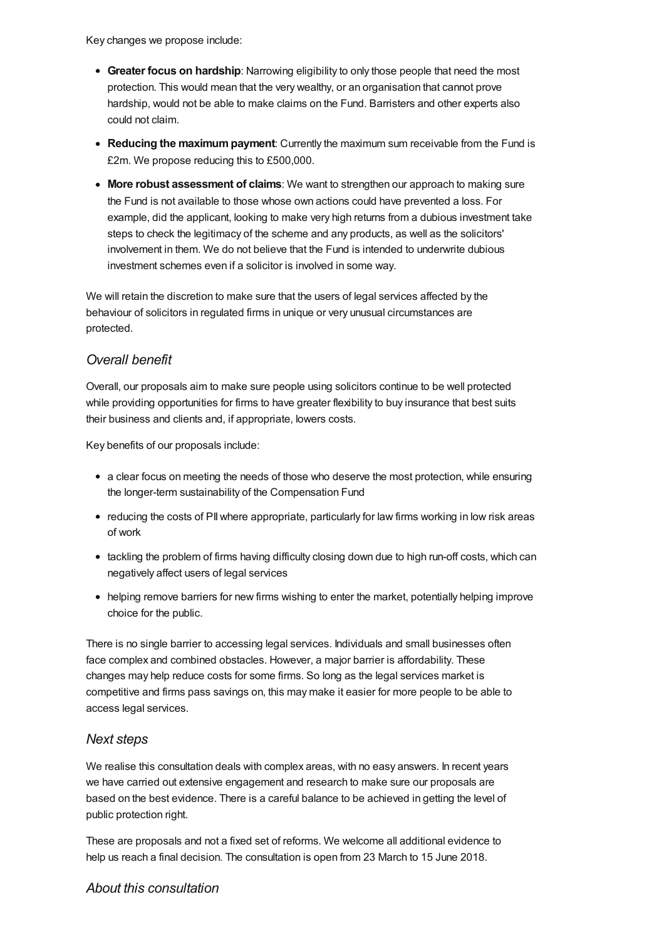Key changes we propose include:

- **Greater focus on hardship**: Narrowing eligibility to only those people that need the most protection. This would mean that the very wealthy, or an organisation that cannot prove hardship, would not be able to make claims on the Fund. Barristers and other experts also could not claim.
- **Reducing the maximumpayment**: Currently the maximum sum receivable from the Fund is £2m. We propose reducing this to £500,000.
- **More robust assessment of claims**: We want to strengthen our approach to making sure the Fund is not available to those whose own actions could have prevented a loss. For example, did the applicant, looking to make very high returns from a dubious investment take steps to check the legitimacy of the scheme and any products, as well as the solicitors' involvement in them. We do not believe that the Fund is intended to underwrite dubious investment schemes even if a solicitor is involved in some way.

We will retain the discretion to make sure that the users of legal services affected by the behaviour of solicitors in regulated firms in unique or very unusual circumstances are protected.

### *Overall benefit*

Overall, our proposals aim to make sure people using solicitors continue to be well protected while providing opportunities for firms to have greater flexibility to buy insurance that best suits their business and clients and, if appropriate, lowers costs.

Key benefits of our proposals include:

- a clear focus on meeting the needs of those who deserve the most protection, while ensuring the longer-term sustainability of the Compensation Fund
- reducing the costs of PII where appropriate, particularly for law firms working in low risk areas of work
- tackling the problem of firms having difficulty closing down due to high run-off costs, which can negatively affect users of legal services
- helping remove barriers for new firms wishing to enter the market, potentially helping improve choice for the public.

There is no single barrier to accessing legal services. Individuals and small businesses often face complex and combined obstacles. However, a major barrier is affordability. These changes may help reduce costs for some firms. So long as the legal services market is competitive and firms pass savings on, this may make it easier for more people to be able to access legal services.

#### *Next steps*

We realise this consultation deals with complex areas, with no easy answers. In recent years we have carried out extensive engagement and research to make sure our proposals are based on the best evidence. There is a careful balance to be achieved in getting the level of public protection right.

These are proposals and not a fixed set of reforms. We welcome all additional evidence to help us reach a final decision. The consultation is open from 23 March to 15 June 2018.

#### *About this [consultation](#page-5-0)*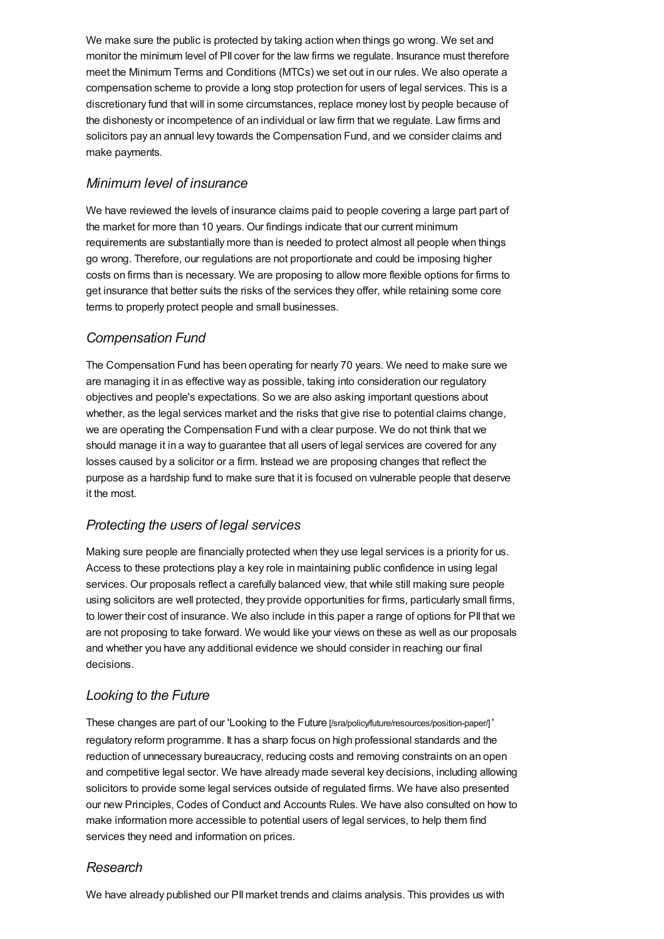We make sure the public is protected by taking action when things go wrong. We set and monitor the minimum level of PII cover for the law firms we regulate. Insurance must therefore meet the Minimum Terms and Conditions (MTCs) we set out in our rules. We also operate a compensation scheme to provide a long stop protection for users of legal services. This is a discretionary fund that will in some circumstances, replace money lost by people because of the dishonesty or incompetence of an individual or law firm that we regulate. Law firms and solicitors pay an annual levy towards the Compensation Fund, and we consider claims and make payments.

### *Minimum level of insurance*

We have reviewed the levels of insurance claims paid to people covering a large part part of the market for more than 10 years. Our findings indicate that our current minimum requirements are substantially more than is needed to protect almost all people when things go wrong. Therefore, our regulations are not proportionate and could be imposing higher costs on firms than is necessary. We are proposing to allow more flexible options for firms to get insurance that better suits the risks of the services they offer, while retaining some core terms to properly protect people and small businesses.

### *Compensation Fund*

The Compensation Fund has been operating for nearly 70 years. We need to make sure we are managing it in as effective way as possible, taking into consideration our regulatory objectives and people's expectations. So we are also asking important questions about whether, as the legal services market and the risks that give rise to potential claims change, we are operating the Compensation Fund with a clear purpose. We do not think that we should manage it in a way to guarantee that all users of legal services are covered for any losses caused by a solicitor or a firm. Instead we are proposing changes that reflect the purpose as a hardship fund to make sure that it is focused on vulnerable people that deserve it the most.

### *Protecting the users of legal services*

Making sure people are financially protected when they use legal services is a priority for us. Access to these protections play a key role in maintaining public confidence in using legal services. Our proposals reflect a carefully balanced view, that while still making sure people using solicitors are well protected, they provide opportunities for firms, particularly small firms, to lower their cost of insurance. We also include in this paper a range of options for PII that we are not proposing to take forward. We would like your views on these as well as our proposals and whether you have any additional evidence we should consider in reaching our final decisions.

### *Looking to the Future*

These changes are part of our 'Looking to the Future [\[/sra/policy/future/resources/position-paper/\]](https://www.sra.org.uk/sra/policy/future/resources/position-paper/) ' regulatory reform programme. It has a sharp focus on high professional standards and the reduction of unnecessary bureaucracy, reducing costs and removing constraints on an open and competitive legal sector. We have already made several key decisions, including allowing solicitors to provide some legal services outside of regulated firms. We have also presented our new Principles, Codes of Conduct and Accounts Rules. We have also consulted on how to make information more accessible to potential users of legal services, to help them find services they need and information on prices.

### *Research*

We have already published our PII market trends and claims analysis. This provides us with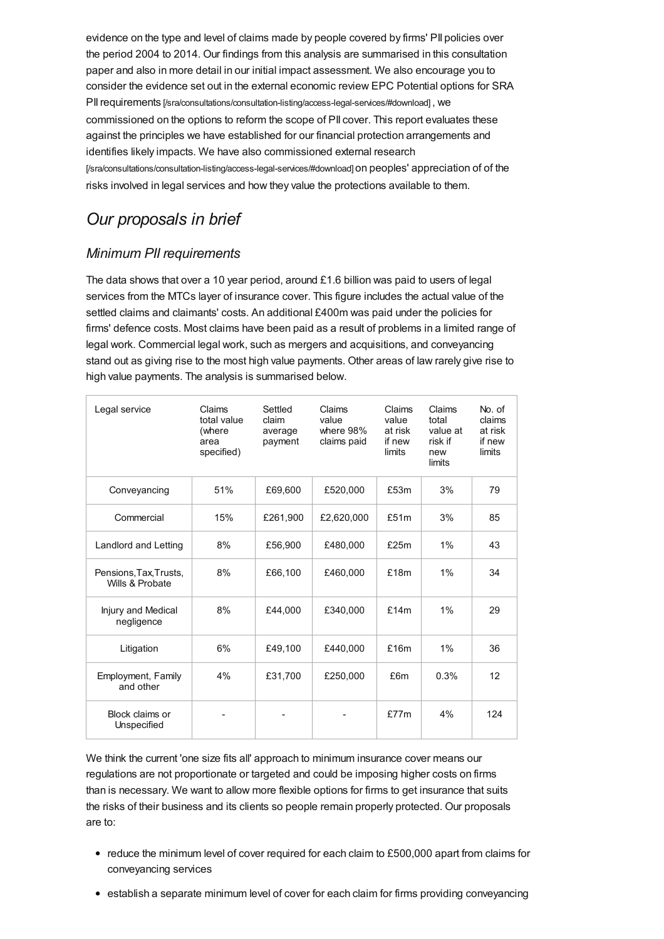<span id="page-5-0"></span>evidence on the type and level of claims made by people covered by firms' PII policies over the period 2004 to 2014. Our findings from this analysis are summarised in this consultation paper and also in more detail in our initial impact assessment. We also encourage you to consider the evidence set out in the external economic review EPC Potential options for SRA PII requirements [\[/sra/consultations/consultation-listing/access-legal-services/#download\]](https://www.sra.org.uk/sra/consultations/consultation-listing/access-legal-services/#download), we commissioned on the options to reform the scope of PII cover. This report evaluates these against the principles we have established for our financial protection arrangements and identifies likely impacts. We have also commissioned external research [\[/sra/consultations/consultation-listing/access-legal-services/#download\]](https://www.sra.org.uk/sra/consultations/consultation-listing/access-legal-services/#download) on peoples' appreciation of of the risks involved in legal services and how they value the protections available to them.

# *Our proposals in brief*

### *Minimum PII requirements*

The data shows that over a 10 year period, around £1.6 billion was paid to users of legal services from the MTCs layer of insurance cover. This figure includes the actual value of the settled claims and claimants' costs. An additional £400m was paid under the policies for firms' defence costs. Most claims have been paid as a result of problems in a limited range of legal work. Commercial legal work, such as mergers and acquisitions, and conveyancing stand out as giving rise to the most high value payments. Other areas of law rarely give rise to high value payments. The analysis is summarised below.

| Legal service                             | Claims<br>total value<br>(where<br>area<br>specified) | Settled<br>claim<br>average<br>payment | Claims<br>value<br>where 98%<br>claims paid | Claims<br>value<br>at risk<br>if new<br>limits | Claims<br>total<br>value at<br>risk if<br>new<br>limits | No. of<br>claims<br>at risk<br>if new<br>limits |
|-------------------------------------------|-------------------------------------------------------|----------------------------------------|---------------------------------------------|------------------------------------------------|---------------------------------------------------------|-------------------------------------------------|
| Conveyancing                              | 51%                                                   | £69,600                                | £520,000                                    | £53m                                           | 3%                                                      | 79                                              |
| Commercial                                | 15%                                                   | £261,900                               | £2,620,000                                  | £51m                                           | 3%                                                      | 85                                              |
| Landlord and Letting                      | 8%                                                    | £56,900                                | £480,000                                    | £25m                                           | 1%                                                      | 43                                              |
| Pensions, Tax, Trusts,<br>Wills & Probate | 8%                                                    | £66.100                                | £460,000                                    | £18m                                           | 1%                                                      | 34                                              |
| Injury and Medical<br>negligence          | 8%                                                    | £44.000                                | £340.000                                    | £14m                                           | 1%                                                      | 29                                              |
| Litigation                                | 6%                                                    | £49,100                                | £440,000                                    | £16m                                           | 1%                                                      | 36                                              |
| Employment, Family<br>and other           | 4%                                                    | £31,700                                | £250,000                                    | £6m                                            | 0.3%                                                    | 12                                              |
| Block claims or<br>Unspecified            |                                                       |                                        |                                             | £77m                                           | 4%                                                      | 124                                             |

We think the current 'one size fits all' approach to minimum insurance cover means our regulations are not proportionate or targeted and could be imposing higher costs on firms than is necessary. We want to allow more flexible options for firms to get insurance that suits the risks of their business and its clients so people remain properly protected. Our proposals are to:

- reduce the minimum level of cover required for each claim to £500,000 apart from claims for conveyancing services
- establish a separate minimum level of cover for each claim for firms providing conveyancing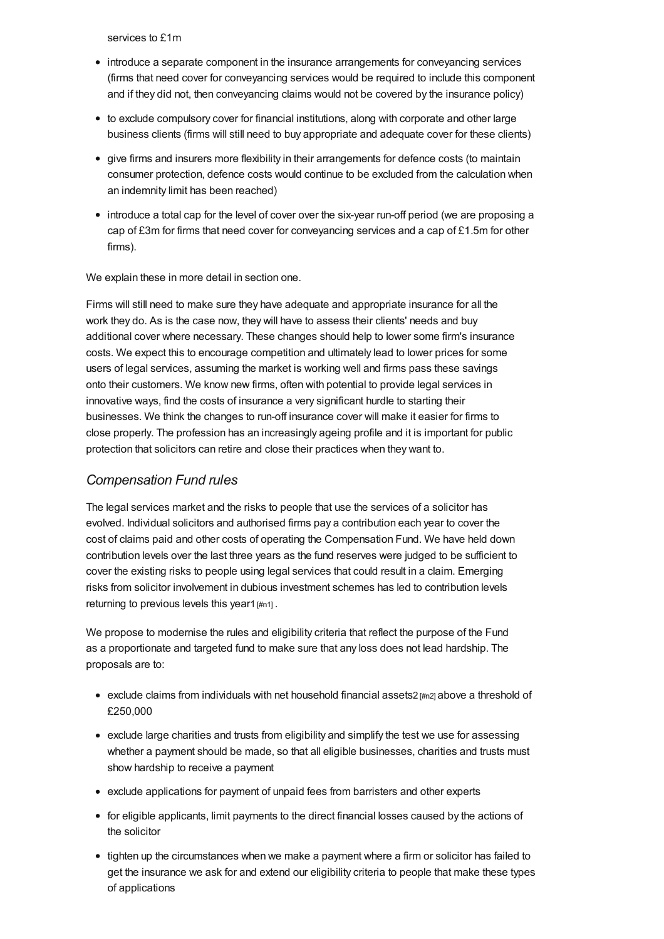services to £1m

- introduce a separate component in the insurance arrangements for conveyancing services (firms that need cover for conveyancing services would be required to include this component and if they did not, then conveyancing claims would not be covered by the insurance policy)
- to exclude compulsory cover for financial institutions, along with corporate and other large business clients (firms will still need to buy appropriate and adequate cover for these clients)
- give firms and insurers more flexibility in their arrangements for defence costs (to maintain consumer protection, defence costs would continue to be excluded from the calculation when an indemnity limit has been reached)
- introduce a total cap for the level of cover over the six-year run-off period (we are proposing a cap of £3m for firms that need cover for conveyancing services and a cap of £1.5m for other firms).

We explain these in more detail in section one.

Firms will still need to make sure they have adequate and appropriate insurance for all the work they do. As is the case now, they will have to assess their clients' needs and buy additional cover where necessary. These changes should help to lower some firm's insurance costs. We expect this to encourage competition and ultimately lead to lower prices for some users of legal services, assuming the market is working well and firms pass these savings onto their customers. We know new firms, often with potential to provide legal services in innovative ways, find the costs of insurance a very significant hurdle to starting their businesses. We think the changes to run-off insurance cover will make it easier for firms to close properly. The profession has an increasingly ageing profile and it is important for public protection that solicitors can retire and close their practices when they want to.

#### *Compensation Fund rules*

The legal services market and the risks to people that use the services of a solicitor has evolved. Individual solicitors and authorised firms pay a contribution each year to cover the cost of claims paid and other costs of operating the Compensation Fund. We have held down contribution levels over the last three years as the fund reserves were judged to be sufficient to cover the existing risks to people using legal services that could result in a claim. Emerging risks from solicitor involvement in dubious investment schemes has led to contribution levels returning to previous levels this year1 [\[#n1\]](#page-17-0).

We propose to modernise the rules and eligibility criteria that reflect the purpose of the Fund as a proportionate and targeted fund to make sure that any loss does not lead hardship. The proposals are to:

- exclude claims from individuals with net household financial assets2  $\#n2$  above a threshold of £250,000
- exclude large charities and trusts from eligibility and simplify the test we use for assessing whether a payment should be made, so that all eligible businesses, charities and trusts must show hardship to receive a payment
- exclude applications for payment of unpaid fees from barristers and other experts
- for eligible applicants, limit payments to the direct financial losses caused by the actions of the solicitor
- tighten up the circumstances when we make a payment where a firm or solicitor has failed to get the insurance we ask for and extend our eligibility criteria to people that make these types of applications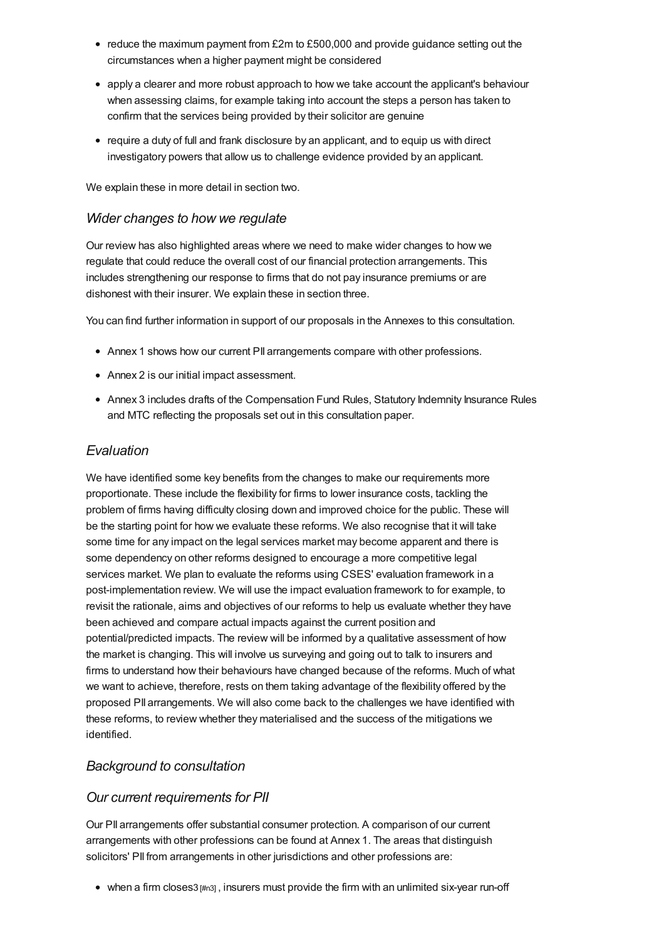- $\bullet$  reduce the maximum payment from £2m to £500,000 and provide quidance setting out the circumstances when a higher payment might be considered
- apply a clearer and more robust approach to how we take account the applicant's behaviour when assessing claims, for example taking into account the steps a person has taken to confirm that the services being provided by their solicitor are genuine
- require a duty of full and frank disclosure by an applicant, and to equip us with direct investigatory powers that allow us to challenge evidence provided by an applicant.

We explain these in more detail in section two.

#### *Wider changes to how we regulate*

Our review has also highlighted areas where we need to make wider changes to how we regulate that could reduce the overall cost of our financial protection arrangements. This includes strengthening our response to firms that do not pay insurance premiums or are dishonest with their insurer. We explain these in section three.

You can find further information in support of our proposals in the Annexes to this consultation.

- Annex 1 shows how our current PII arrangements compare with other professions.
- Annex 2 is our initial impact assessment.
- Annex 3 includes drafts of the Compensation Fund Rules, Statutory Indemnity Insurance Rules and MTC reflecting the proposals set out in this consultation paper.

### *Evaluation*

We have identified some key benefits from the changes to make our requirements more proportionate. These include the flexibility for firms to lower insurance costs, tackling the problem of firms having difficulty closing down and improved choice for the public. These will be the starting point for how we evaluate these reforms. We also recognise that it will take some time for any impact on the legal services market may become apparent and there is some dependency on other reforms designed to encourage a more competitive legal services market. We plan to evaluate the reforms using CSES' evaluation framework in a post-implementation review. We will use the impact evaluation framework to for example, to revisit the rationale, aims and objectives of our reforms to help us evaluate whether they have been achieved and compare actual impacts against the current position and potential/predicted impacts. The review will be informed by a qualitative assessment of how the market is changing. This will involve us surveying and going out to talk to insurers and firms to understand how their behaviours have changed because of the reforms. Much of what we want to achieve, therefore, rests on them taking advantage of the flexibility offered by the proposed PII arrangements. We will also come back to the challenges we have identified with these reforms, to review whether they materialised and the success of the mitigations we identified.

### *[Background](#page-9-0) to consultation*

### *Our current requirements for PII*

Our PII arrangements offer substantial consumer protection. A comparison of our current arrangements with other professions can be found at Annex 1. The areas that distinguish solicitors' PII from arrangements in other jurisdictions and other professions are:

 $\bullet$  when a firm closes3  $\#$ <sub>13</sub>], insurers must provide the firm with an unlimited six-year run-off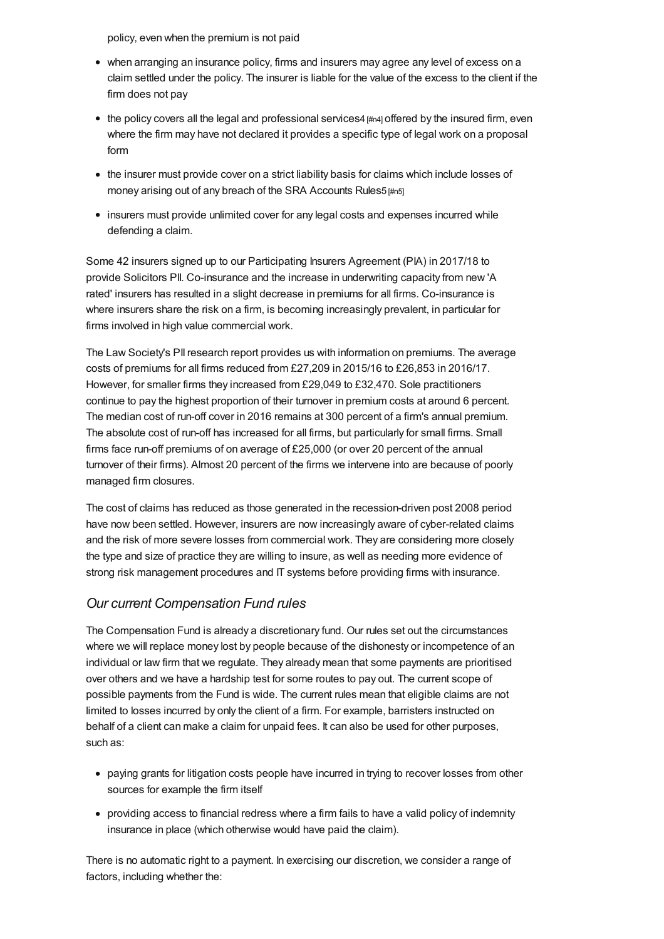policy, even when the premium is not paid

- when arranging an insurance policy, firms and insurers may agree any level of excess on a claim settled under the policy. The insurer is liable for the value of the excess to the client if the firm does not pay
- $\bullet$  the policy covers all the legal and professional services4  $\mu_{\text{H}}$  offered by the insured firm, even where the firm may have not declared it provides a specific type of legal work on a proposal form
- the insurer must provide cover on a strict liability basis for claims which include losses of money arising out of any breach of the SRA Accounts Rules5 [\[#n5\]](#page-17-4)
- insurers must provide unlimited cover for any legal costs and expenses incurred while defending a claim.

Some 42 insurers signed up to our Participating Insurers Agreement (PIA) in 2017/18 to provide Solicitors PII. Co-insurance and the increase in underwriting capacity from new 'A rated' insurers has resulted in a slight decrease in premiums for all firms. Co-insurance is where insurers share the risk on a firm, is becoming increasingly prevalent, in particular for firms involved in high value commercial work.

The Law Society's PIIresearch report provides us with information on premiums. The average costs of premiums for all firms reduced from £27,209 in 2015/16 to £26,853 in 2016/17. However, for smaller firms they increased from £29,049 to £32,470. Sole practitioners continue to pay the highest proportion of their turnover in premium costs at around 6 percent. The median cost of run-off cover in 2016 remains at 300 percent of a firm's annual premium. The absolute cost of run-off has increased for all firms, but particularly for small firms. Small firms face run-off premiums of on average of £25,000 (or over 20 percent of the annual turnover of their firms). Almost 20 percent of the firms we intervene into are because of poorly managed firm closures.

The cost of claims has reduced as those generated in the recession-driven post 2008 period have now been settled. However, insurers are now increasingly aware of cyber-related claims and the risk of more severe losses from commercial work. They are considering more closely the type and size of practice they are willing to insure, as well as needing more evidence of strong risk management procedures and IT systems before providing firms with insurance.

### *Our current Compensation Fund rules*

The Compensation Fund is already a discretionary fund. Our rules set out the circumstances where we will replace money lost by people because of the dishonesty or incompetence of an individual or law firm that we regulate. They already mean that some payments are prioritised over others and we have a hardship test for some routes to pay out. The current scope of possible payments from the Fund is wide. The current rules mean that eligible claims are not limited to losses incurred by only the client of a firm. For example, barristers instructed on behalf of a client can make a claim for unpaid fees. It can also be used for other purposes, such as:

- paying grants for litigation costs people have incurred in trying to recover losses from other sources for example the firm itself
- providing access to financial redress where a firm fails to have a valid policy of indemnity insurance in place (which otherwise would have paid the claim).

There is no automatic right to a payment. In exercising our discretion, we consider a range of factors, including whether the: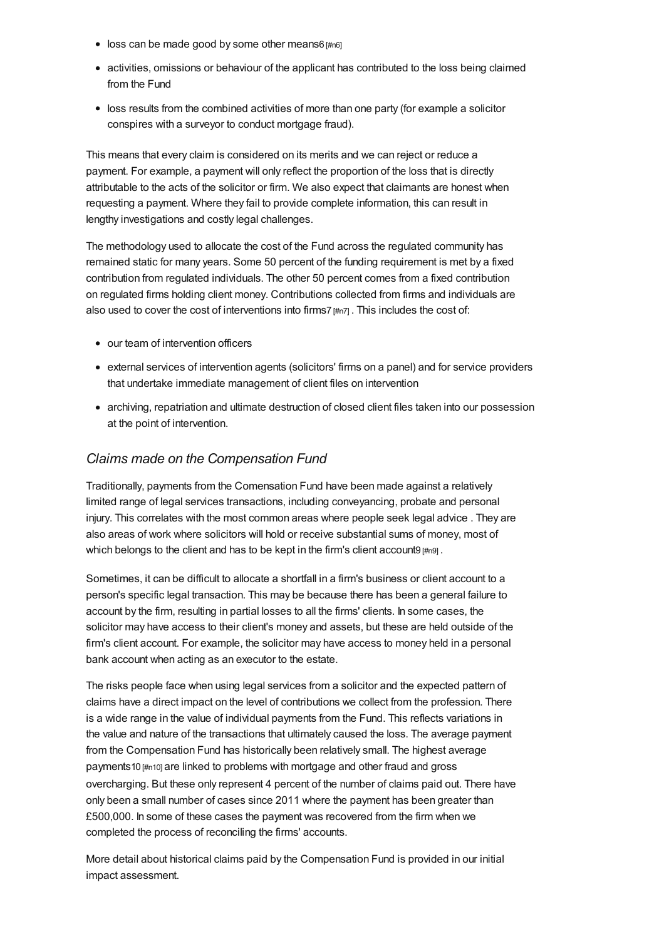- <span id="page-9-0"></span> $\bullet$  loss can be made good by some other means6  $\#n6$ ]
- activities, omissions or behaviour of the applicant has contributed to the loss being claimed from the Fund
- loss results from the combined activities of more than one party (for example a solicitor conspires with a surveyor to conduct mortgage fraud).

This means that every claim is considered on its merits and we can reject or reduce a payment. For example, a payment will only reflect the proportion of the loss that is directly attributable to the acts of the solicitor or firm. We also expect that claimants are honest when requesting a payment. Where they fail to provide complete information, this can result in lengthy investigations and costly legal challenges.

The methodology used to allocate the cost of the Fund across the regulated community has remained static for many years. Some 50 percent of the funding requirement is met by a fixed contribution from regulated individuals. The other 50 percent comes from a fixed contribution on regulated firms holding client money. Contributions collected from firms and individuals are also used to cover the cost of interventions into firms7 $\mu_{n7}$ . This includes the cost of:

- our team of intervention officers
- external services of intervention agents (solicitors' firms on a panel) and for service providers that undertake immediate management of client files on intervention
- archiving, repatriation and ultimate destruction of closed client files taken into our possession at the point of intervention.

### *Claims made on the Compensation Fund*

Traditionally, payments from the Comensation Fund have been made against a relatively limited range of legal services transactions, including conveyancing, probate and personal injury. This correlates with the most common areas where people seek legal advice . They are also areas of work where solicitors will hold or receive substantial sums of money, most of which belongs to the client and has to be kept in the firm's client account9  $\mu_{n9}$ .

Sometimes, it can be difficult to allocate a shortfall in a firm's business or client account to a person's specific legal transaction. This may be because there has been a general failure to account by the firm, resulting in partial losses to all the firms' clients. In some cases, the solicitor may have access to their client's money and assets, but these are held outside of the firm's client account. For example, the solicitor may have access to money held in a personal bank account when acting as an executor to the estate.

The risks people face when using legal services from a solicitor and the expected pattern of claims have a direct impact on the level of contributions we collect from the profession. There is a wide range in the value of individual payments from the Fund. This reflects variations in the value and nature of the transactions that ultimately caused the loss. The average payment from the Compensation Fund has historically been relatively small. The highest average payments10 [\[#n10\]](#page-18-2) are linked to problems with mortgage and other fraud and gross overcharging. But these only represent 4 percent of the number of claims paid out. There have only been a small number of cases since 2011 where the payment has been greater than £500,000. In some of these cases the payment was recovered from the firm when we completed the process of reconciling the firms' accounts.

More detail about historical claims paid by the Compensation Fund is provided in our initial impact assessment.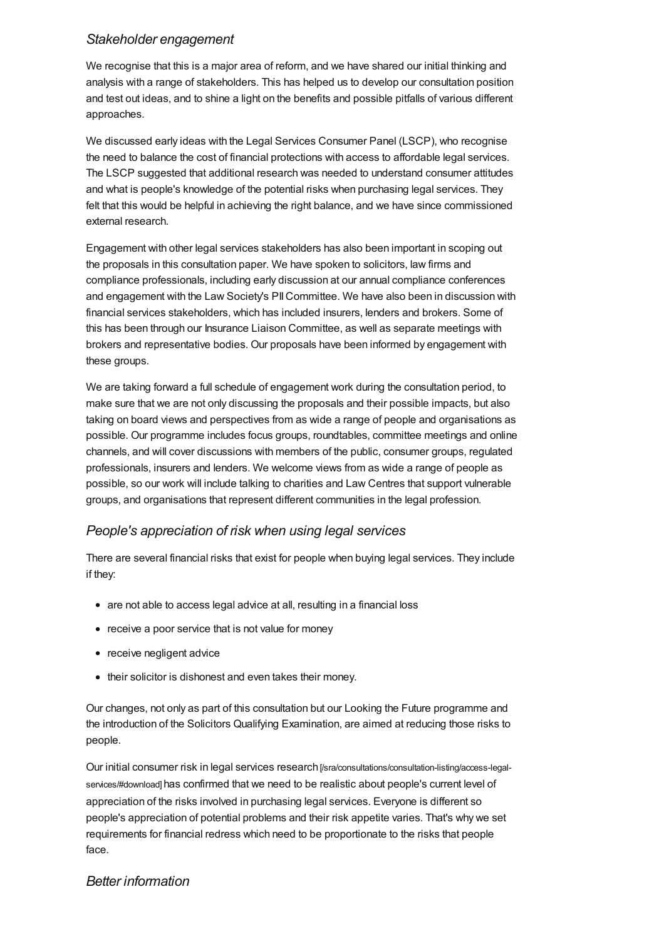### *Stakeholder engagement*

We recognise that this is a major area of reform, and we have shared our initial thinking and analysis with a range of stakeholders. This has helped us to develop our consultation position and test out ideas, and to shine a light on the benefits and possible pitfalls of various different approaches.

We discussed early ideas with the Legal Services Consumer Panel (LSCP), who recognise the need to balance the cost of financial protections with access to affordable legal services. The LSCP suggested that additional research was needed to understand consumer attitudes and what is people's knowledge of the potential risks when purchasing legal services. They felt that this would be helpful in achieving the right balance, and we have since commissioned external research.

Engagement with other legal services stakeholders has also been important in scoping out the proposals in this consultation paper. We have spoken to solicitors, law firms and compliance professionals, including early discussion at our annual compliance conferences and engagement with the Law Society's PIICommittee. We have also been in discussion with financial services stakeholders, which has included insurers, lenders and brokers. Some of this has been through our Insurance Liaison Committee, as well as separate meetings with brokers and representative bodies. Our proposals have been informed by engagement with these groups.

We are taking forward a full schedule of engagement work during the consultation period, to make sure that we are not only discussing the proposals and their possible impacts, but also taking on board views and perspectives from as wide a range of people and organisations as possible. Our programme includes focus groups, roundtables, committee meetings and online channels, and will cover discussions with members of the public, consumer groups, regulated professionals, insurers and lenders. We welcome views from as wide a range of people as possible, so our work will include talking to charities and Law Centres that support vulnerable groups, and organisations that represent different communities in the legal profession.

### *People's appreciation of risk when using legal services*

There are several financial risks that exist for people when buying legal services. They include if they:

- are not able to access legal advice at all, resulting in a financial loss
- receive a poor service that is not value for money
- receive negligent advice
- their solicitor is dishonest and even takes their money.

Our changes, not only as part of this consultation but our Looking the Future programme and the introduction of the Solicitors Qualifying Examination, are aimed at reducing those risks to people.

Our initial consumer risk in legal services research [\[/sra/consultations/consultation-listing/access-legal](https://www.sra.org.uk/sra/consultations/consultation-listing/access-legal-services/#download)services/#download] has confirmed that we need to be realistic about people's current level of appreciation of the risks involved in purchasing legal services. Everyone is different so people's appreciation of potential problems and their risk appetite varies. That's why we set requirements for financial redress which need to be proportionate to the risks that people face.

#### *Better information*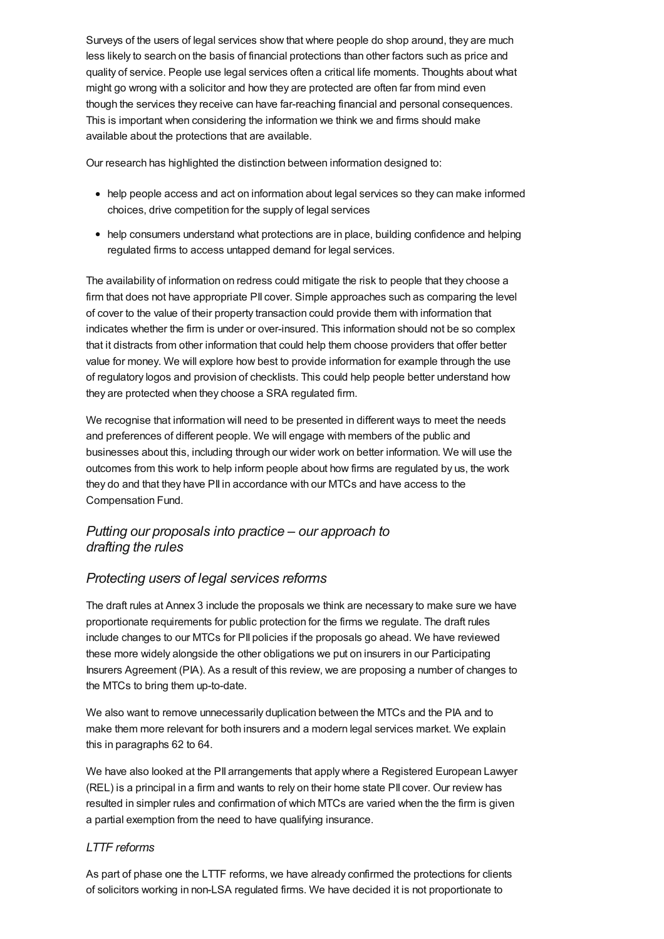Surveys of the users of legal services show that where people do shop around, they are much less likely to search on the basis of financial protections than other factors such as price and quality of service. People use legal services often a critical life moments. Thoughts about what might go wrong with a solicitor and how they are protected are often far from mind even though the services they receive can have far-reaching financial and personal consequences. This is important when considering the information we think we and firms should make available about the protections that are available.

Our research has highlighted the distinction between information designed to:

- help people access and act on information about legal services so they can make informed choices, drive competition for the supply of legal services
- help consumers understand what protections are in place, building confidence and helping regulated firms to access untapped demand for legal services.

The availability of information on redress could mitigate the risk to people that they choose a firm that does not have appropriate PII cover. Simple approaches such as comparing the level of cover to the value of their property transaction could provide them with information that indicates whether the firm is under or over-insured. This information should not be so complex that it distracts from other information that could help them choose providers that offer better value for money. We will explore how best to provide information for example through the use of regulatory logos and provision of checklists. This could help people better understand how they are protected when they choose a SRA regulated firm.

We recognise that information will need to be presented in different ways to meet the needs and preferences of different people. We will engage with members of the public and businesses about this, including through our wider work on better information. We will use the outcomes from this work to help inform people about how firms are regulated by us, the work they do and that they have PII in accordance with our MTCs and have access to the Compensation Fund.

### *Putting our [proposals](#page-12-0) into practice – our approach to drafting the rules*

### *Protecting users of legal services reforms*

The draft rules at Annex 3 include the proposals we think are necessary to make sure we have proportionate requirements for public protection for the firms we regulate. The draft rules include changes to our MTCs for PII policies if the proposals go ahead. We have reviewed these more widely alongside the other obligations we put on insurers in our Participating Insurers Agreement (PIA). As a result of this review, we are proposing a number of changes to the MTCs to bring them up-to-date.

We also want to remove unnecessarily duplication between the MTCs and the PIA and to make them more relevant for both insurers and a modern legal services market. We explain this in paragraphs 62 to 64.

We have also looked at the PII arrangements that apply where a Registered European Lawyer (REL) is a principal in a firm and wants to rely on their home state PII cover. Our review has resulted in simpler rules and confirmation of which MTCs are varied when the the firm is given a partial exemption from the need to have qualifying insurance.

#### *LTTF reforms*

As part of phase one the LTTF reforms, we have already confirmed the protections for clients of solicitors working in non-LSA regulated firms. We have decided it is not proportionate to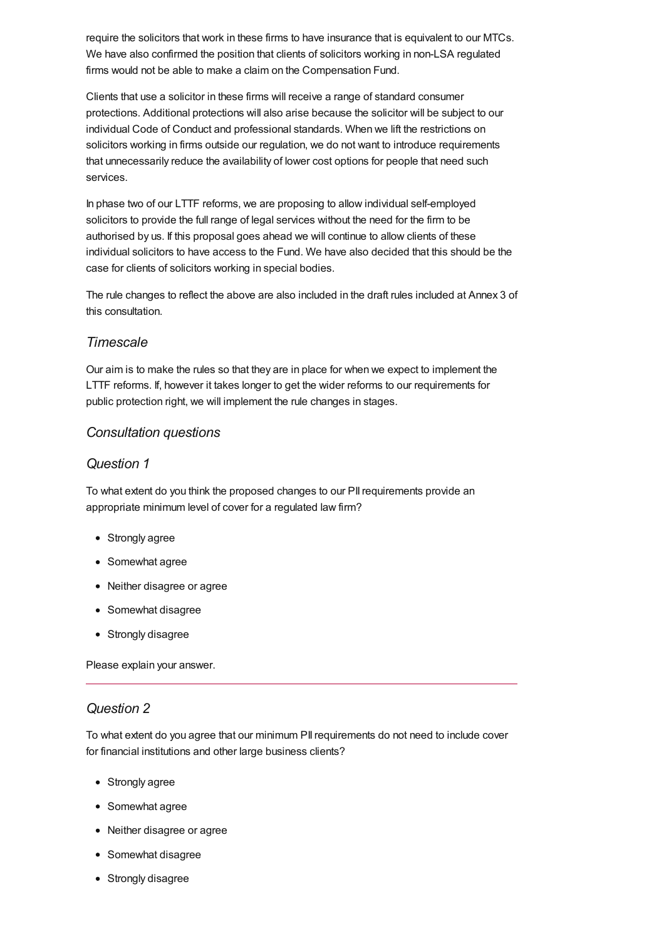<span id="page-12-0"></span>require the solicitors that work in these firms to have insurance that is equivalent to our MTCs. We have also confirmed the position that clients of solicitors working in non-LSA regulated firms would not be able to make a claim on the Compensation Fund.

Clients that use a solicitor in these firms will receive a range of standard consumer protections. Additional protections will also arise because the solicitor will be subject to our individual Code of Conduct and professional standards. When we lift the restrictions on solicitors working in firms outside our regulation, we do not want to introduce requirements that unnecessarily reduce the availability of lower cost options for people that need such services.

In phase two of our LTTF reforms, we are proposing to allow individual self-employed solicitors to provide the full range of legal services without the need for the firm to be authorised by us. If this proposal goes ahead we will continue to allow clients of these individual solicitors to have access to the Fund. We have also decided that this should be the case for clients of solicitors working in special bodies.

The rule changes to reflect the above are also included in the draft rules included at Annex 3 of this consultation.

### *Timescale*

Our aim is to make the rules so that they are in place for when we expect to implement the LTTF reforms. If, however it takes longer to get the wider reforms to our requirements for public protection right, we will implement the rule changes in stages.

### *[Consultation](#page-15-0) questions*

### *Question 1*

To what extent do you think the proposed changes to our PIIrequirements provide an appropriate minimum level of cover for a regulated law firm?

- Strongly agree
- Somewhat agree
- Neither disagree or agree
- Somewhat disagree
- Strongly disagree

Please explain your answer.

### *Question 2*

To what extent do you agree that our minimum PIIrequirements do not need to include cover for financial institutions and other large business clients?

- Strongly agree
- Somewhat agree
- Neither disagree or agree
- Somewhat disagree
- Strongly disagree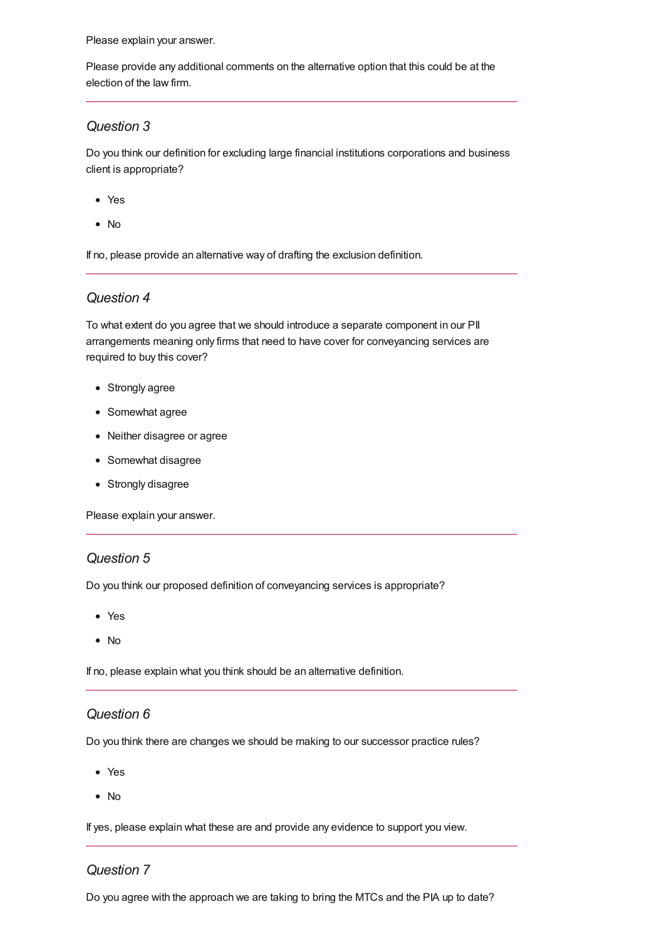Please provide any additional comments on the alternative option that this could be at the election of the law firm.

### *Question 3*

Do you think our definition for excluding large financial institutions corporations and business client is appropriate?

- Yes
- No

If no, please provide an alternative way of drafting the exclusion definition.

#### *Question 4*

To what extent do you agree that we should introduce a separate component in our PII arrangements meaning only firms that need to have cover for conveyancing services are required to buy this cover?

- Strongly agree
- Somewhat agree
- Neither disagree or agree
- Somewhat disagree
- Strongly disagree

Please explain your answer.

#### *Question 5*

Do you think our proposed definition of conveyancing services is appropriate?

- Yes
- $\bullet$  No

If no, please explain what you think should be an alternative definition.

#### *Question 6*

Do you think there are changes we should be making to our successor practice rules?

- Yes
- No

If yes, please explain what these are and provide any evidence to support you view.

#### *Question 7*

Do you agree with the approach we are taking to bring the MTCs and the PIA up to date?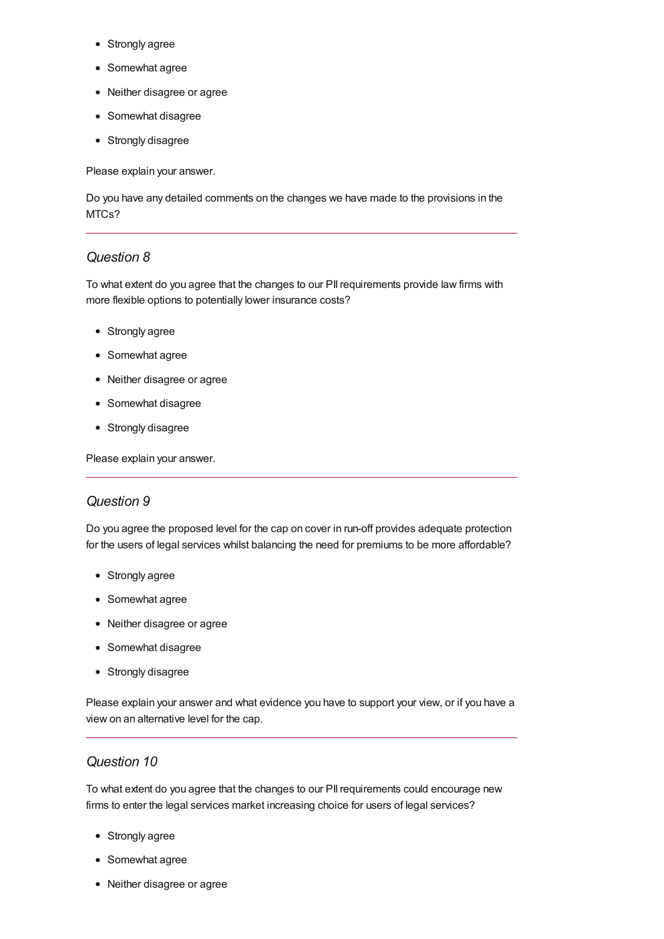- Strongly agree
- Somewhat agree
- Neither disagree or agree
- Somewhat disagree
- Strongly disagree

Do you have any detailed comments on the changes we have made to the provisions in the MTCs?

### *Question 8*

To what extent do you agree that the changes to our PIIrequirements provide law firms with more flexible options to potentially lower insurance costs?

- Strongly agree
- Somewhat agree
- Neither disagree or agree
- Somewhat disagree
- Strongly disagree

Please explain your answer.

### *Question 9*

Do you agree the proposed level for the cap on cover in run-off provides adequate protection for the users of legal services whilst balancing the need for premiums to be more affordable?

- Strongly agree
- Somewhat agree
- Neither disagree or agree
- Somewhat disagree
- Strongly disagree

Please explain your answer and what evidence you have to support your view, or if you have a view on an alternative level for the cap.

#### *Question 10*

To what extent do you agree that the changes to our PIIrequirements could encourage new firms to enter the legal services market increasing choice for users of legal services?

- Strongly agree
- Somewhat agree
- Neither disagree or agree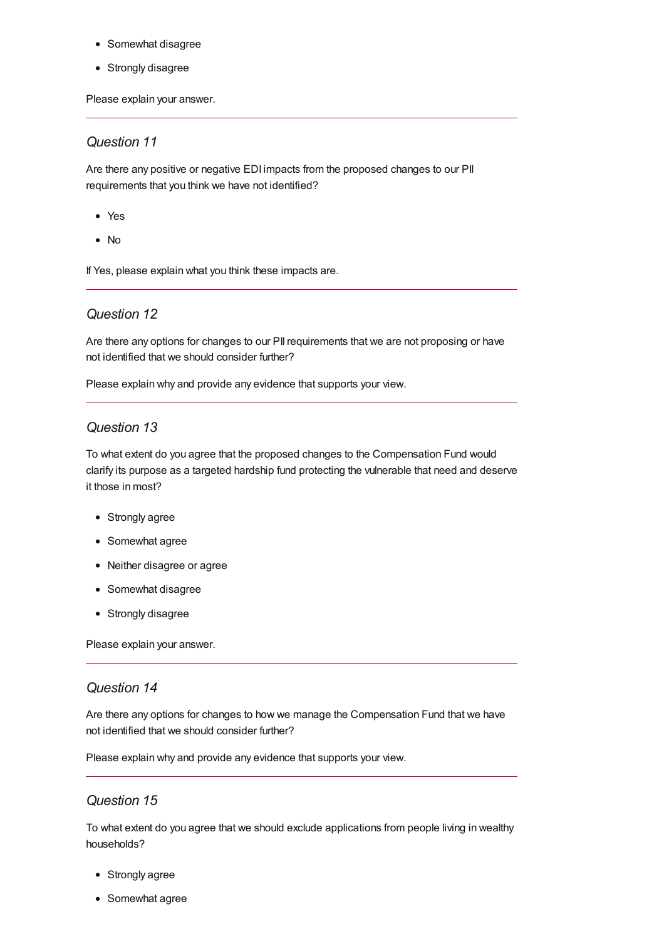- <span id="page-15-0"></span>• Somewhat disagree
- Strongly disagree

#### *Question 11*

Are there any positive or negative EDI impacts from the proposed changes to our PII requirements that you think we have not identified?

- Yes
- No

If Yes, please explain what you think these impacts are.

#### *Question 12*

Are there any options for changes to our PII requirements that we are not proposing or have not identified that we should consider further?

Please explain why and provide any evidence that supports your view.

### *Question 13*

To what extent do you agree that the proposed changes to the Compensation Fund would clarify its purpose as a targeted hardship fund protecting the vulnerable that need and deserve it those in most?

- Strongly agree
- Somewhat agree
- Neither disagree or agree
- Somewhat disagree
- Strongly disagree

Please explain your answer.

#### *Question 14*

Are there any options for changes to how we manage the Compensation Fund that we have not identified that we should consider further?

Please explain why and provide any evidence that supports your view.

### *Question 15*

To what extent do you agree that we should exclude applications from people living in wealthy households?

- Strongly agree
- Somewhat agree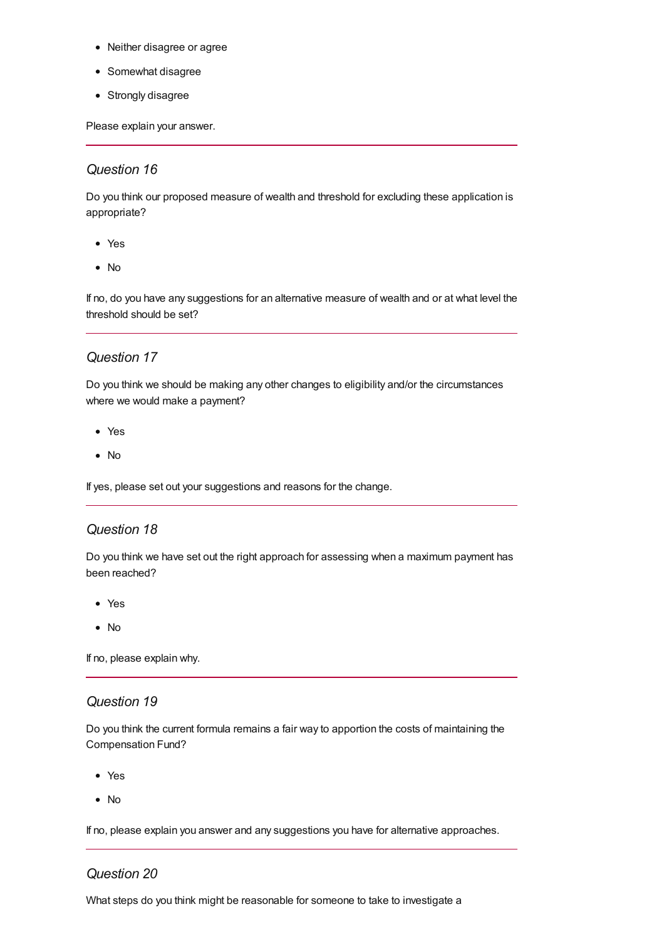- Neither disagree or agree
- Somewhat disagree
- Strongly disagree

### *Question 16*

Do you think our proposed measure of wealth and threshold for excluding these application is appropriate?

- Yes
- No

If no, do you have any suggestions for an alternative measure of wealth and or at what level the threshold should be set?

### *Question 17*

Do you think we should be making any other changes to eligibility and/or the circumstances where we would make a payment?

- Yes
- No

If yes, please set out your suggestions and reasons for the change.

#### *Question 18*

Do you think we have set out the right approach for assessing when a maximum payment has been reached?

- Yes
- No

If no, please explain why.

#### *Question 19*

Do you think the current formula remains a fair way to apportion the costs of maintaining the Compensation Fund?

- Yes
- No

If no, please explain you answer and any suggestions you have for alternative approaches.

### *Question 20*

What steps do you think might be reasonable for someone to take to investigate a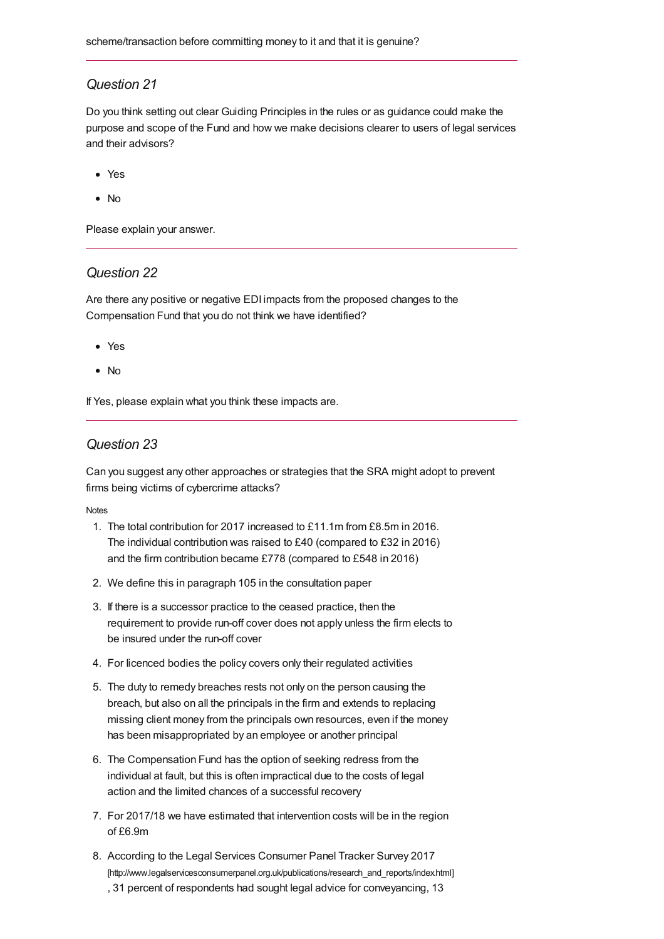#### *Question 21*

Do you think setting out clear Guiding Principles in the rules or as guidance could make the purpose and scope of the Fund and how we make decisions clearer to users of legal services and their advisors?

- Yes
- No

Please explain your answer.

#### *Question 22*

Are there any positive or negative EDI impacts from the proposed changes to the Compensation Fund that you do not think we have identified?

- Yes
- No

If Yes, please explain what you think these impacts are.

#### *Question 23*

Can you suggest any other approaches or strategies that the SRA might adopt to prevent firms being victims of cybercrime attacks?

<span id="page-17-7"></span>**[Notes](#page-17-7)** 

- <span id="page-17-0"></span>1. The total contribution for 2017 increased to £11.1m from £8.5m in 2016. The individual contribution was raised to £40 (compared to £32 in 2016) and the firm contribution became £778 (compared to £548 in 2016)
- <span id="page-17-1"></span>2. We define this in paragraph 105 in the consultation paper
- <span id="page-17-2"></span>3. If there is a successor practice to the ceased practice, then the requirement to provide run-off cover does not apply unless the firm elects to be insured under the run-off cover
- <span id="page-17-3"></span>4. For licenced bodies the policy covers only their regulated activities
- <span id="page-17-4"></span>5. The duty to remedy breaches rests not only on the person causing the breach, but also on all the principals in the firm and extends to replacing missing client money from the principals own resources, even if the money has been misappropriated by an employee or another principal
- <span id="page-17-5"></span>6. The Compensation Fund has the option of seeking redress from the individual at fault, but this is often impractical due to the costs of legal action and the limited chances of a successful recovery
- <span id="page-17-6"></span>7. For 2017/18 we have estimated that intervention costs will be in the region of £6.9m
- 8. According to the Legal Services Consumer Panel Tracker Survey 2017 [\[http://www.legalservicesconsumerpanel.org.uk/publications/research\\_and\\_reports/index.html\]](http://www.legalservicesconsumerpanel.org.uk/publications/research_and_reports/index.html) , 31 percent of respondents had sought legal advice for conveyancing, 13